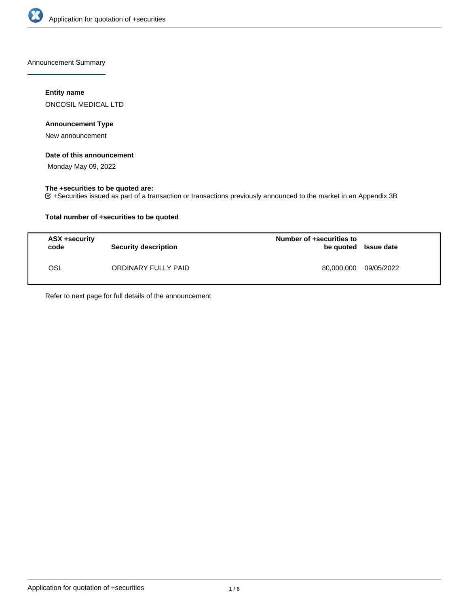

Announcement Summary

## **Entity name**

ONCOSIL MEDICAL LTD

## **Announcement Type**

New announcement

## **Date of this announcement**

Monday May 09, 2022

## **The +securities to be quoted are:**

+Securities issued as part of a transaction or transactions previously announced to the market in an Appendix 3B

## **Total number of +securities to be quoted**

| ASX +security<br>code | <b>Security description</b> | Number of +securities to<br>be quoted Issue date |            |
|-----------------------|-----------------------------|--------------------------------------------------|------------|
| OSL                   | ORDINARY FULLY PAID         | 80.000.000                                       | 09/05/2022 |

Refer to next page for full details of the announcement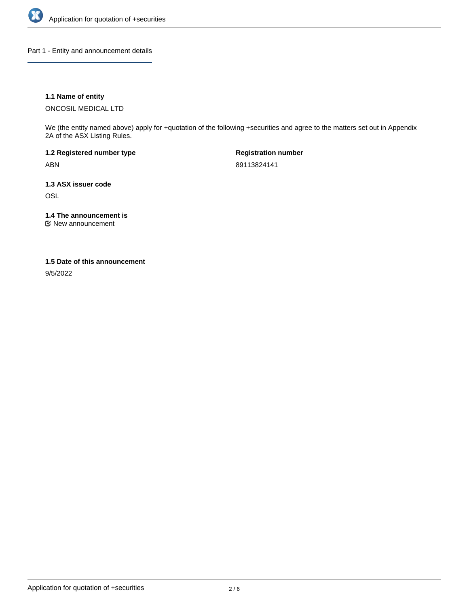

Part 1 - Entity and announcement details

## **1.1 Name of entity**

ONCOSIL MEDICAL LTD

We (the entity named above) apply for +quotation of the following +securities and agree to the matters set out in Appendix 2A of the ASX Listing Rules.

**1.2 Registered number type** ABN

**Registration number** 89113824141

**1.3 ASX issuer code OSL** 

**1.4 The announcement is**

New announcement

### **1.5 Date of this announcement**

9/5/2022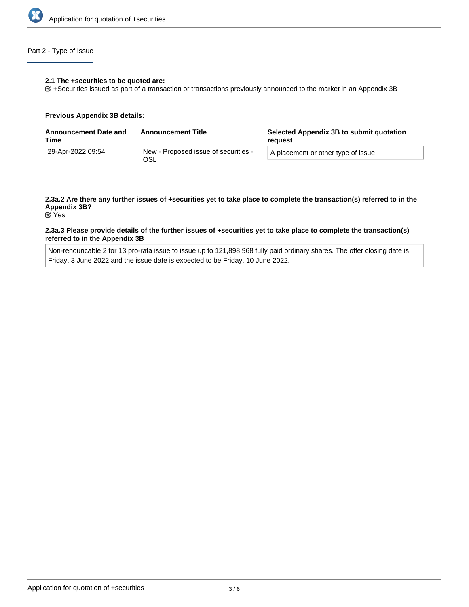

## Part 2 - Type of Issue

### **2.1 The +securities to be quoted are:**

+Securities issued as part of a transaction or transactions previously announced to the market in an Appendix 3B

### **Previous Appendix 3B details:**

| <b>Announcement Date and</b><br>Time | <b>Announcement Title</b>                   | Selected Appendix 3B to submit quotation<br>reauest |
|--------------------------------------|---------------------------------------------|-----------------------------------------------------|
| 29-Apr-2022 09:54                    | New - Proposed issue of securities -<br>OSL | A placement or other type of issue                  |

# **2.3a.2 Are there any further issues of +securities yet to take place to complete the transaction(s) referred to in the Appendix 3B?**

Yes

### **2.3a.3 Please provide details of the further issues of +securities yet to take place to complete the transaction(s) referred to in the Appendix 3B**

Non-renouncable 2 for 13 pro-rata issue to issue up to 121,898,968 fully paid ordinary shares. The offer closing date is Friday, 3 June 2022 and the issue date is expected to be Friday, 10 June 2022.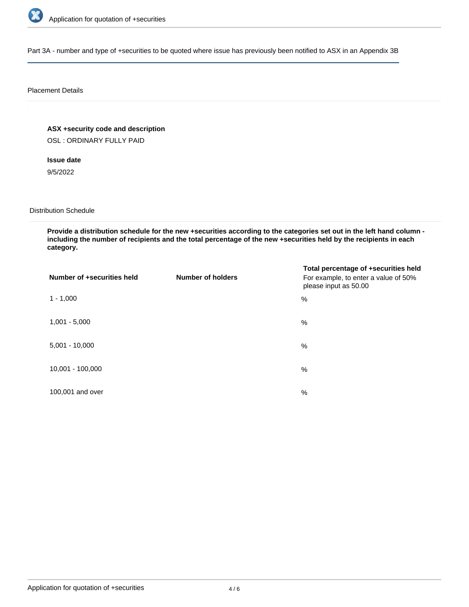

Part 3A - number and type of +securities to be quoted where issue has previously been notified to ASX in an Appendix 3B

### Placement Details

**ASX +security code and description**

OSL : ORDINARY FULLY PAID

**Issue date** 9/5/2022

Distribution Schedule

**Provide a distribution schedule for the new +securities according to the categories set out in the left hand column including the number of recipients and the total percentage of the new +securities held by the recipients in each category.**

| Number of +securities held | <b>Number of holders</b> | Total percentage of +securities held<br>For example, to enter a value of 50%<br>please input as 50.00 |
|----------------------------|--------------------------|-------------------------------------------------------------------------------------------------------|
| $1 - 1,000$                |                          | %                                                                                                     |
| $1,001 - 5,000$            |                          | $\%$                                                                                                  |
| $5,001 - 10,000$           |                          | %                                                                                                     |
| 10,001 - 100,000           |                          | %                                                                                                     |
| 100,001 and over           |                          | $\%$                                                                                                  |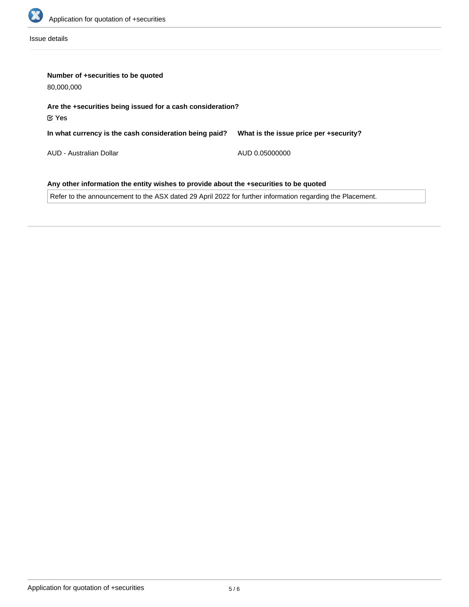

Issue details

| Number of +securities to be quoted<br>80,000,000                                      |                                        |  |  |  |
|---------------------------------------------------------------------------------------|----------------------------------------|--|--|--|
| Are the +securities being issued for a cash consideration?<br>$\propto$ Yes           |                                        |  |  |  |
| In what currency is the cash consideration being paid?                                | What is the issue price per +security? |  |  |  |
| AUD - Australian Dollar                                                               | AUD 0.05000000                         |  |  |  |
| Any other information the entity wishes to provide about the +securities to be quoted |                                        |  |  |  |

Refer to the announcement to the ASX dated 29 April 2022 for further information regarding the Placement.